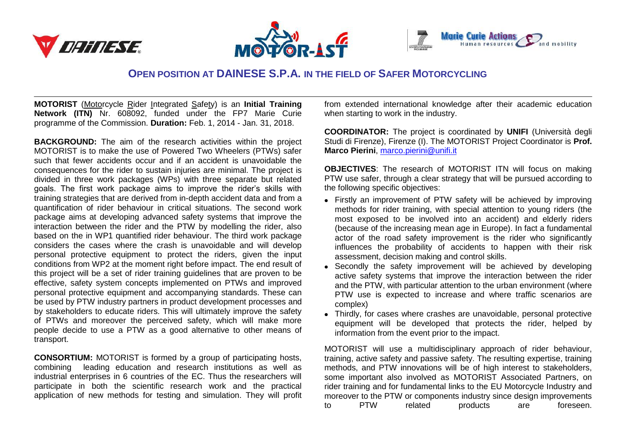





## **OPEN POSITION AT DAINESE S.P.A. IN THE FIELD OF SAFER MOTORCYCLING**

**MOTORIST** (Motorcycle Rider Integrated Safety) is an **Initial Training Network (ITN)** Nr. 608092, funded under the FP7 Marie Curie programme of the Commission. **Duration:** Feb. 1, 2014 - Jan. 31, 2018.

**BACKGROUND:** The aim of the research activities within the project MOTORIST is to make the use of Powered Two Wheelers (PTWs) safer such that fewer accidents occur and if an accident is unavoidable the consequences for the rider to sustain injuries are minimal. The project is divided in three work packages (WPs) with three separate but related goals. The first work package aims to improve the rider's skills with training strategies that are derived from in-depth accident data and from a quantification of rider behaviour in critical situations. The second work package aims at developing advanced safety systems that improve the interaction between the rider and the PTW by modelling the rider, also based on the in WP1 quantified rider behaviour. The third work package considers the cases where the crash is unavoidable and will develop personal protective equipment to protect the riders, given the input conditions from WP2 at the moment right before impact. The end result of this project will be a set of rider training guidelines that are proven to be effective, safety system concepts implemented on PTWs and improved personal protective equipment and accompanying standards. These can be used by PTW industry partners in product development processes and by stakeholders to educate riders. This will ultimately improve the safety of PTWs and moreover the perceived safety, which will make more people decide to use a PTW as a good alternative to other means of transport.

**CONSORTIUM:** MOTORIST is formed by a group of participating hosts, combining leading education and research institutions as well as industrial enterprises in 6 countries of the EC. Thus the researchers will participate in both the scientific research work and the practical application of new methods for testing and simulation. They will profit from extended international knowledge after their academic education when starting to work in the industry.

**COORDINATOR:** The project is coordinated by **UNIFI** (Università degli Studi di Firenze), Firenze (I). The MOTORIST Project Coordinator is **Prof. Marco Pierini**, [marco.pierini@unifi.it](mailto:marco.pierini@unifi.it)

**OBJECTIVES**: The research of MOTORIST ITN will focus on making PTW use safer, through a clear strategy that will be pursued according to the following specific objectives:

- Firstly an improvement of PTW safety will be achieved by improving methods for rider training, with special attention to young riders (the most exposed to be involved into an accident) and elderly riders (because of the increasing mean age in Europe). In fact a fundamental actor of the road safety improvement is the rider who significantly influences the probability of accidents to happen with their risk assessment, decision making and control skills.
- Secondly the safety improvement will be achieved by developing active safety systems that improve the interaction between the rider and the PTW, with particular attention to the urban environment (where PTW use is expected to increase and where traffic scenarios are complex)
- Thirdly, for cases where crashes are unavoidable, personal protective equipment will be developed that protects the rider, helped by information from the event prior to the impact.

MOTORIST will use a multidisciplinary approach of rider behaviour, training, active safety and passive safety. The resulting expertise, training methods, and PTW innovations will be of high interest to stakeholders, some important also involved as MOTORIST Associated Partners, on rider training and for fundamental links to the EU Motorcycle Industry and moreover to the PTW or components industry since design improvements to PTW related products are foreseen.